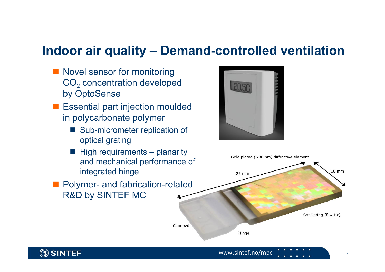## **Indoor air quality – Demand-controlled ventilation**

- **Novel sensor for monitoring**  $\mathsf{CO}_2$  concentration developed by OptoSense
- **E** Essential part injection moulded in polycarbonate polymer
	- Sub-micrometer replication of optical grating
	- $\blacksquare$  High requirements planarity and mechanical performance of integrated hinge
- **Polymer- and fabrication-related** R&D by SINTEF MC





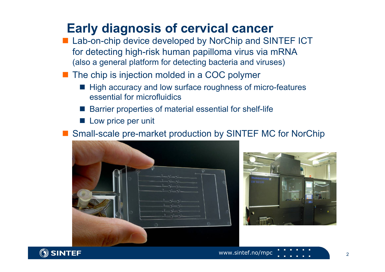## **Early diagnosis of cervical cancer**

- Lab-on-chip device developed by NorChip and SINTEF ICT for detecting high-risk human papilloma virus via mRNA (also a general platform for detecting bacteria and viruses)
- The chip is injection molded in a COC polymer
	- High accuracy and low surface roughness of micro-features essential for microfluidics
	- $\overline{\phantom{a}}$ Barrier properties of material essential for shelf-life
	- F Low price per unit

■ Small-scale pre-market production by SINTEF MC for NorChip





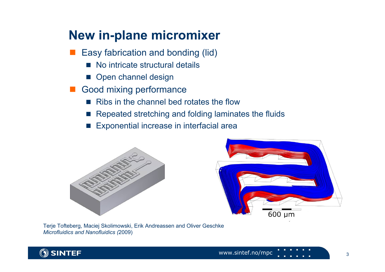## **New in-plane micromixer**

- Easy fabrication and bonding (lid)
	- $\overline{\phantom{a}}$ No intricate structural details
	- **Open channel design**
- Good mixing performance
	- <u>r </u> Ribs in the channel bed rotates the flow
	- $\overline{\phantom{a}}$ Repeated stretching and folding laminates the fluids
	- $\overline{\phantom{a}}$ Exponential increase in interfacial area





Terje Tofteberg, Maciej Skolimowski, Erik Andreassen and Oliver Geschke *Microfluidics and Nanofluidics (*2009)